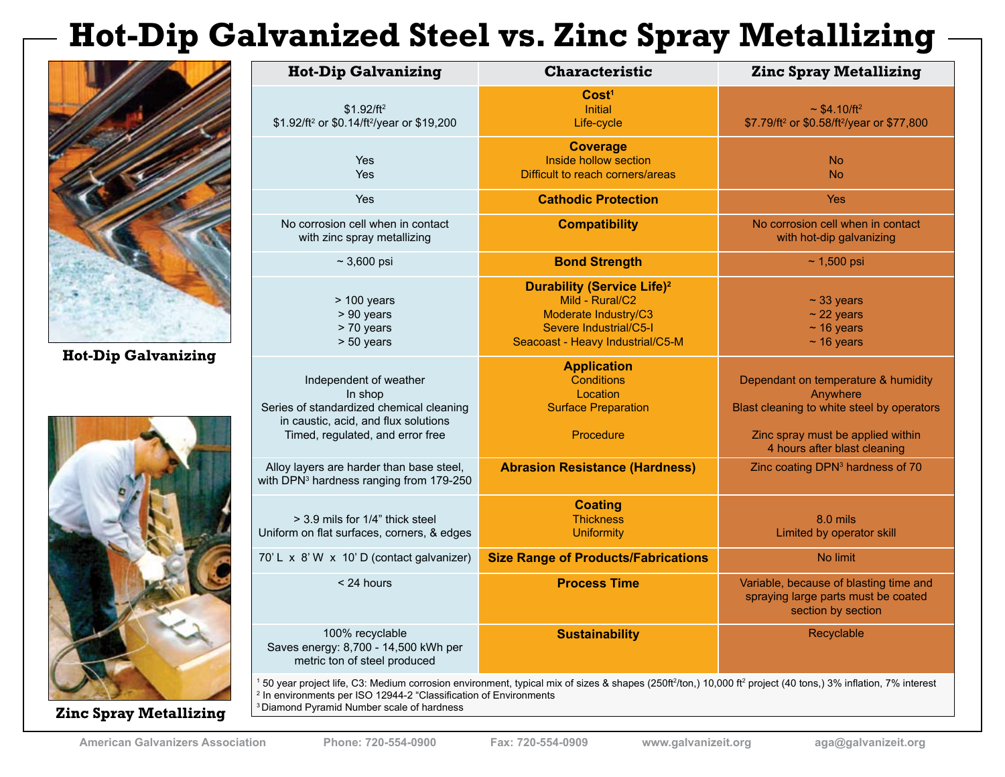# **Hot-Dip Galvanized Steel vs. Zinc Spray Metallizing**



**Hot-Dip Galvanizing**



**Zinc Spray Metallizing**

| <b>Hot-Dip Galvanizing</b>                                                                                                                                                                                                                                                                                                     | <b>Characteristic</b>                                                                                                                                 | <b>Zinc Spray Metallizing</b>                                                                                                                                      |
|--------------------------------------------------------------------------------------------------------------------------------------------------------------------------------------------------------------------------------------------------------------------------------------------------------------------------------|-------------------------------------------------------------------------------------------------------------------------------------------------------|--------------------------------------------------------------------------------------------------------------------------------------------------------------------|
| $$1.92/ft^2$<br>\$1.92/ft <sup>2</sup> or \$0.14/ft <sup>2</sup> /year or \$19,200                                                                                                                                                                                                                                             | Cost <sup>1</sup><br><b>Initial</b><br>Life-cycle                                                                                                     | $\sim$ \$4.10/ft <sup>2</sup><br>\$7.79/ft <sup>2</sup> or \$0.58/ft <sup>2</sup> /year or \$77,800                                                                |
| <b>Yes</b><br>Yes                                                                                                                                                                                                                                                                                                              | <b>Coverage</b><br>Inside hollow section<br>Difficult to reach corners/areas                                                                          | <b>No</b><br><b>No</b>                                                                                                                                             |
| <b>Yes</b>                                                                                                                                                                                                                                                                                                                     | <b>Cathodic Protection</b>                                                                                                                            | <b>Yes</b>                                                                                                                                                         |
| No corrosion cell when in contact<br>with zinc spray metallizing                                                                                                                                                                                                                                                               | <b>Compatibility</b>                                                                                                                                  | No corrosion cell when in contact<br>with hot-dip galvanizing                                                                                                      |
| $~1$ 3,600 psi                                                                                                                                                                                                                                                                                                                 | <b>Bond Strength</b>                                                                                                                                  | $~1,500$ psi                                                                                                                                                       |
| $> 100$ years<br>> 90 years<br>> 70 years<br>$> 50$ years                                                                                                                                                                                                                                                                      | <b>Durability (Service Life)<sup>2</sup></b><br>Mild - Rural/C2<br>Moderate Industry/C3<br>Severe Industrial/C5-I<br>Seacoast - Heavy Industrial/C5-M | $\sim$ 33 years<br>$\sim$ 22 years<br>$~16$ years<br>$~16$ years                                                                                                   |
| Independent of weather<br>In shop<br>Series of standardized chemical cleaning<br>in caustic, acid, and flux solutions<br>Timed, regulated, and error free                                                                                                                                                                      | <b>Application</b><br><b>Conditions</b><br>Location<br><b>Surface Preparation</b><br>Procedure                                                        | Dependant on temperature & humidity<br>Anywhere<br>Blast cleaning to white steel by operators<br>Zinc spray must be applied within<br>4 hours after blast cleaning |
| Alloy layers are harder than base steel,<br>with DPN <sup>3</sup> hardness ranging from 179-250                                                                                                                                                                                                                                | <b>Abrasion Resistance (Hardness)</b>                                                                                                                 | Zinc coating DPN <sup>3</sup> hardness of 70                                                                                                                       |
| $>$ 3.9 mils for 1/4" thick steel<br>Uniform on flat surfaces, corners, & edges                                                                                                                                                                                                                                                | <b>Coating</b><br><b>Thickness</b><br><b>Uniformity</b>                                                                                               | 8.0 mils<br>Limited by operator skill                                                                                                                              |
| 70'L x 8'W x 10'D (contact galvanizer)                                                                                                                                                                                                                                                                                         | <b>Size Range of Products/Fabrications</b>                                                                                                            | No limit                                                                                                                                                           |
| < 24 hours                                                                                                                                                                                                                                                                                                                     | <b>Process Time</b>                                                                                                                                   | Variable, because of blasting time and<br>spraying large parts must be coated<br>section by section                                                                |
| 100% recyclable<br>Saves energy: 8,700 - 14,500 kWh per<br>metric ton of steel produced                                                                                                                                                                                                                                        | <b>Sustainability</b>                                                                                                                                 | Recyclable                                                                                                                                                         |
| 150 year project life, C3: Medium corrosion environment, typical mix of sizes & shapes (250ft <sup>2</sup> /ton,) 10,000 ft <sup>2</sup> project (40 tons,) 3% inflation, 7% interest<br><sup>2</sup> In environments per ISO 12944-2 "Classification of Environments<br><sup>3</sup> Diamond Pyramid Number scale of hardness |                                                                                                                                                       |                                                                                                                                                                    |